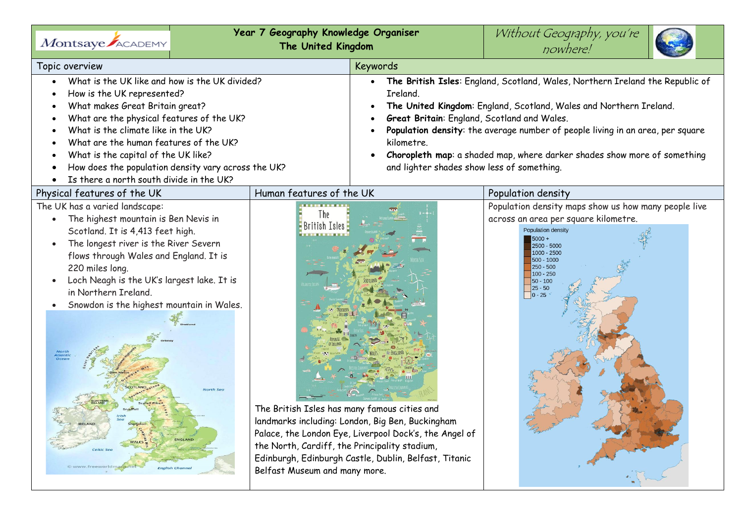| Montsaye ACADEMY                                                                                                                                                                                                                                                                                                                                                                                                                                                                                      | Year 7 Geography Knowledge Organiser<br>The United Kingdom                                                                                              |                                                                                                                                                                                                                                                                                                                                                                                                                                          | Without Geography, you're<br>nowhere!                                                                                                                                                                                                               |
|-------------------------------------------------------------------------------------------------------------------------------------------------------------------------------------------------------------------------------------------------------------------------------------------------------------------------------------------------------------------------------------------------------------------------------------------------------------------------------------------------------|---------------------------------------------------------------------------------------------------------------------------------------------------------|------------------------------------------------------------------------------------------------------------------------------------------------------------------------------------------------------------------------------------------------------------------------------------------------------------------------------------------------------------------------------------------------------------------------------------------|-----------------------------------------------------------------------------------------------------------------------------------------------------------------------------------------------------------------------------------------------------|
| Topic overview                                                                                                                                                                                                                                                                                                                                                                                                                                                                                        |                                                                                                                                                         | <b>Keywords</b>                                                                                                                                                                                                                                                                                                                                                                                                                          |                                                                                                                                                                                                                                                     |
| What is the UK like and how is the UK divided?<br>How is the UK represented?<br>What makes Great Britain great?<br>What are the physical features of the UK?<br>What is the climate like in the UK?<br>What are the human features of the UK?<br>What is the capital of the UK like?<br>How does the population density vary across the UK?<br>Is there a north south divide in the UK?                                                                                                               |                                                                                                                                                         | The British Isles: England, Scotland, Wales, Northern Ireland the Republic of<br>Ireland.<br>The United Kingdom: England, Scotland, Wales and Northern Ireland.<br>Great Britain: England, Scotland and Wales.<br>Population density: the average number of people living in an area, per square<br>kilometre.<br>Choropleth map: a shaded map, where darker shades show more of something<br>and lighter shades show less of something. |                                                                                                                                                                                                                                                     |
| Physical features of the UK                                                                                                                                                                                                                                                                                                                                                                                                                                                                           | Human features of the UK                                                                                                                                |                                                                                                                                                                                                                                                                                                                                                                                                                                          | Population density                                                                                                                                                                                                                                  |
| The UK has a varied landscape:<br>The highest mountain is Ben Nevis in<br>Scotland. It is 4,413 feet high.<br>The longest river is the River Severn<br>flows through Wales and England. It is<br>220 miles long.<br>Loch Neagh is the UK's largest lake. It is<br>in Northern Ireland.<br>Snowdon is the highest mountain in Wales.<br>North<br>Atlantic<br>Varth Sec<br><b>IRELAND</b><br><b>ENGLAND</b><br>WALES <sup>3</sup><br><b>Celtic Sec</b><br>ww.freeworldmapsmet<br><b>English Channel</b> | l he<br>British Isles<br>The British Isles has many famous cities and<br>the North, Cardiff, the Principality stadium,<br>Belfast Museum and many more. | landmarks including: London, Big Ben, Buckingham<br>Palace, the London Eye, Liverpool Dock's, the Angel of<br>Edinburgh, Edinburgh Castle, Dublin, Belfast, Titanic                                                                                                                                                                                                                                                                      | Population density maps show us how many people live<br>across an area per square kilometre.<br>Population density<br>$5000 +$<br>2500 - 5000<br>1000 - 2500<br>$500 - 1000$<br>$250 - 500$<br>$100 - 250$<br>$50 - 100$<br>$25 - 50$<br>$ 0 - 25 $ |